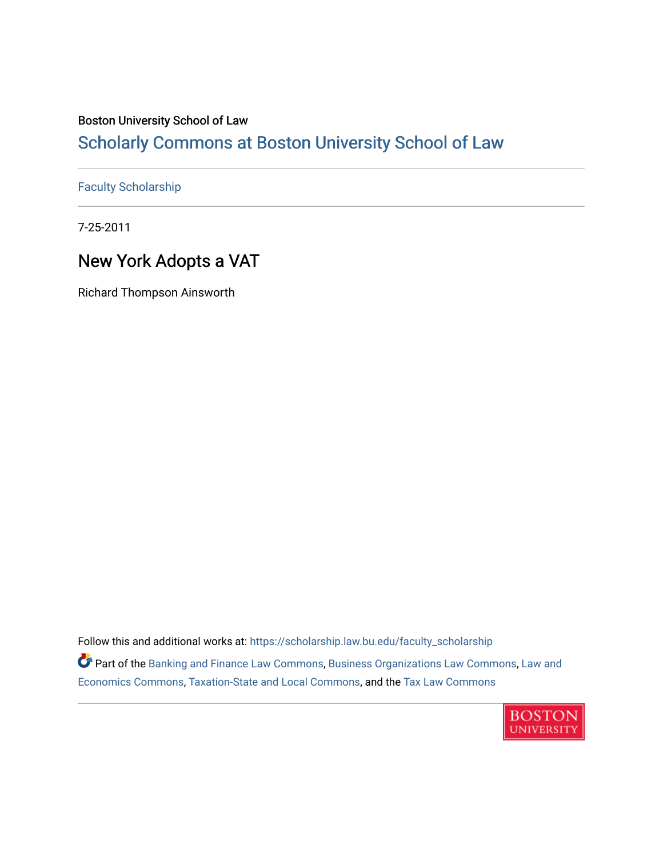## Boston University School of Law

# [Scholarly Commons at Boston University School of Law](https://scholarship.law.bu.edu/)

### [Faculty Scholarship](https://scholarship.law.bu.edu/faculty_scholarship)

7-25-2011

# New York Adopts a VAT

Richard Thompson Ainsworth

Follow this and additional works at: [https://scholarship.law.bu.edu/faculty\\_scholarship](https://scholarship.law.bu.edu/faculty_scholarship?utm_source=scholarship.law.bu.edu%2Ffaculty_scholarship%2F1462&utm_medium=PDF&utm_campaign=PDFCoverPages)

Part of the [Banking and Finance Law Commons,](http://network.bepress.com/hgg/discipline/833?utm_source=scholarship.law.bu.edu%2Ffaculty_scholarship%2F1462&utm_medium=PDF&utm_campaign=PDFCoverPages) [Business Organizations Law Commons](http://network.bepress.com/hgg/discipline/900?utm_source=scholarship.law.bu.edu%2Ffaculty_scholarship%2F1462&utm_medium=PDF&utm_campaign=PDFCoverPages), [Law and](http://network.bepress.com/hgg/discipline/612?utm_source=scholarship.law.bu.edu%2Ffaculty_scholarship%2F1462&utm_medium=PDF&utm_campaign=PDFCoverPages) [Economics Commons,](http://network.bepress.com/hgg/discipline/612?utm_source=scholarship.law.bu.edu%2Ffaculty_scholarship%2F1462&utm_medium=PDF&utm_campaign=PDFCoverPages) [Taxation-State and Local Commons,](http://network.bepress.com/hgg/discipline/882?utm_source=scholarship.law.bu.edu%2Ffaculty_scholarship%2F1462&utm_medium=PDF&utm_campaign=PDFCoverPages) and the [Tax Law Commons](http://network.bepress.com/hgg/discipline/898?utm_source=scholarship.law.bu.edu%2Ffaculty_scholarship%2F1462&utm_medium=PDF&utm_campaign=PDFCoverPages)

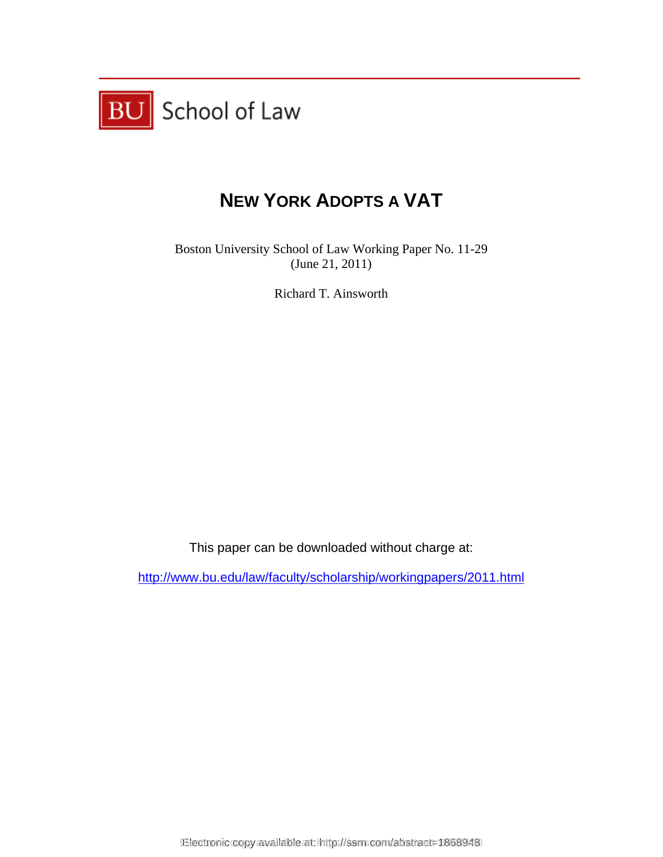

# **NEW YORK ADOPTS A VAT**

Boston University School of Law Working Paper No. 11-29 (June 21, 2011)

Richard T. Ainsworth

This paper can be downloaded without charge at:

http://www.bu.edu/law/faculty/scholarship/workingpapers/2011.html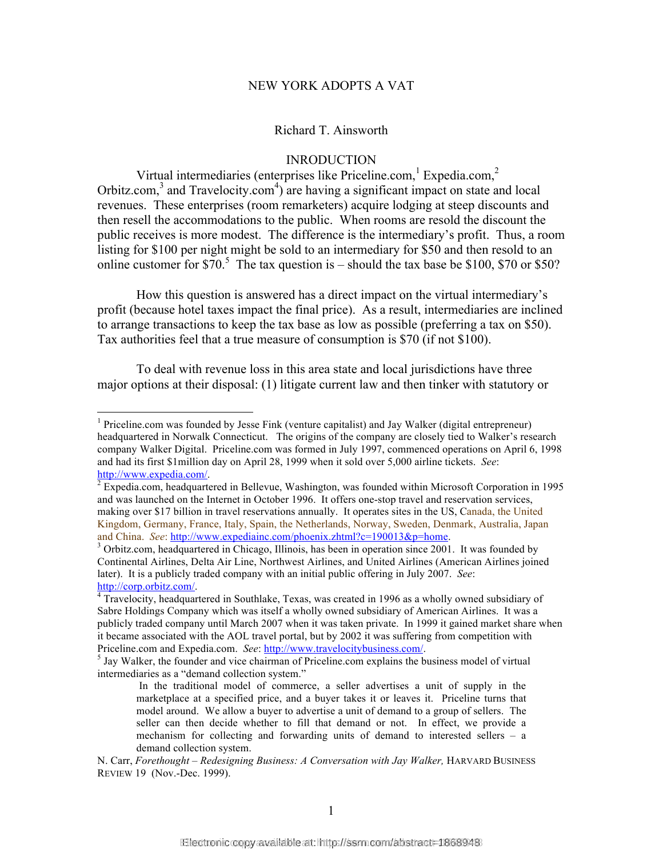#### NEW YORK ADOPTS A VAT

#### Richard T. Ainsworth

#### INRODUCTION

Virtual intermediaries (enterprises like Priceline.com,  $1$  Expedia.com,  $2$ Orbitz.com,<sup>3</sup> and Travelocity.com<sup>4</sup>) are having a significant impact on state and local revenues. These enterprises (room remarketers) acquire lodging at steep discounts and then resell the accommodations to the public. When rooms are resold the discount the public receives is more modest. The difference is the intermediary's profit. Thus, a room listing for \$100 per night might be sold to an intermediary for \$50 and then resold to an online customer for  $$70.<sup>5</sup>$  The tax question is – should the tax base be \$100, \$70 or \$50?

How this question is answered has a direct impact on the virtual intermediary's profit (because hotel taxes impact the final price). As a result, intermediaries are inclined to arrange transactions to keep the tax base as low as possible (preferring a tax on \$50). Tax authorities feel that a true measure of consumption is \$70 (if not \$100).

To deal with revenue loss in this area state and local jurisdictions have three major options at their disposal: (1) litigate current law and then tinker with statutory or

 $\frac{1}{1}$  $<sup>1</sup>$  Priceline.com was founded by Jesse Fink (venture capitalist) and Jay Walker (digital entrepreneur)</sup> headquartered in Norwalk Connecticut. The origins of the company are closely tied to Walker's research company Walker Digital. Priceline.com was formed in July 1997, commenced operations on April 6, 1998 and had its first \$1million day on April 28, 1999 when it sold over 5,000 airline tickets. *See*:

http://www.expedia.com/.<br><sup>2</sup> Expedia.com, headquartered in Bellevue, Washington, was founded within Microsoft Corporation in 1995 and was launched on the Internet in October 1996. It offers one-stop travel and reservation services, making over \$17 billion in travel reservations annually. It operates sites in the US, Canada, the United Kingdom, Germany, France, Italy, Spain, the Netherlands, Norway, Sweden, Denmark, Australia, Japan and China. *See*: http://www.expediainc.com/phoenix.zhtml?c=190013&p=home.

 $3$  Orbitz.com, headquartered in Chicago, Illinois, has been in operation since 2001. It was founded by Continental Airlines, Delta Air Line, Northwest Airlines, and United Airlines (American Airlines joined later). It is a publicly traded company with an initial public offering in July 2007. *See*: http://corp.orbitz.com/. <sup>4</sup>

<sup>&</sup>lt;sup>4</sup> Travelocity, headquartered in Southlake, Texas, was created in 1996 as a wholly owned subsidiary of Sabre Holdings Company which was itself a wholly owned subsidiary of American Airlines. It was a publicly traded company until March 2007 when it was taken private. In 1999 it gained market share when it became associated with the AOL travel portal, but by 2002 it was suffering from competition with Priceline.com and Expedia.com. *See*: http://www.travelocitybusiness.com/.

 $<sup>5</sup>$  Jay Walker, the founder and vice chairman of Priceline.com explains the business model of virtual</sup> intermediaries as a "demand collection system."

In the traditional model of commerce, a seller advertises a unit of supply in the marketplace at a specified price, and a buyer takes it or leaves it. Priceline turns that model around. We allow a buyer to advertise a unit of demand to a group of sellers. The seller can then decide whether to fill that demand or not. In effect, we provide a mechanism for collecting and forwarding units of demand to interested sellers – a demand collection system.

N. Carr, *Forethought – Redesigning Business: A Conversation with Jay Walker*, HARVARD BUSINESS REVIEW 19 (Nov.-Dec. 1999).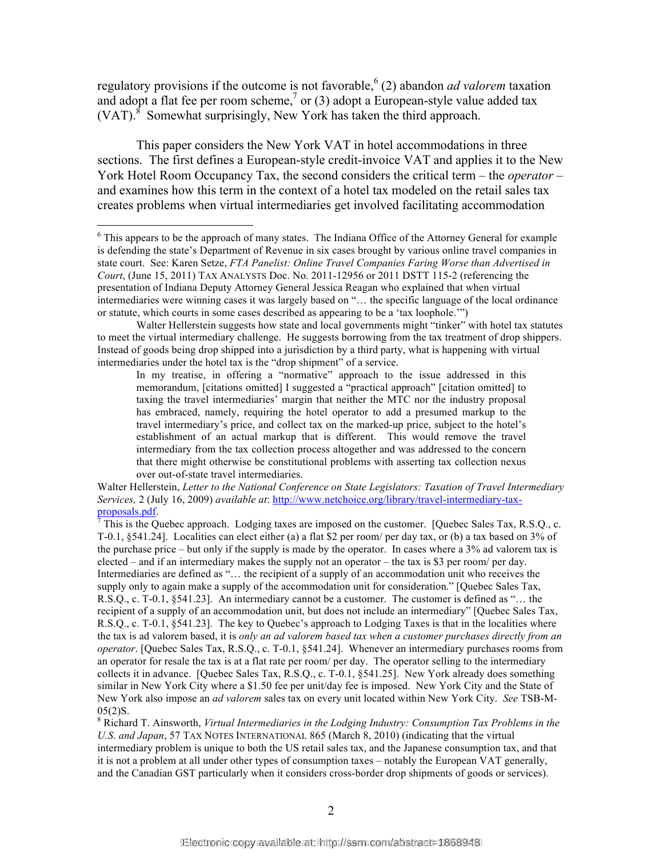regulatory provisions if the outcome is not favorable, <sup>6</sup> (2) abandon *ad valorem* taxation and adopt a flat fee per room scheme,<sup>7</sup> or (3) adopt a European-style value added tax (VAT). $^8$  Somewhat surprisingly, New York has taken the third approach.

This paper considers the New York VAT in hotel accommodations in three sections. The first defines a European-style credit-invoice VAT and applies it to the New York Hotel Room Occupancy Tax, the second considers the critical term – the *operator* – and examines how this term in the context of a hotel tax modeled on the retail sales tax creates problems when virtual intermediaries get involved facilitating accommodation

In my treatise, in offering a "normative" approach to the issue addressed in this memorandum, [citations omitted] I suggested a "practical approach" [citation omitted] to taxing the travel intermediaries' margin that neither the MTC nor the industry proposal has embraced, namely, requiring the hotel operator to add a presumed markup to the travel intermediary's price, and collect tax on the marked-up price, subject to the hotel's establishment of an actual markup that is different. This would remove the travel intermediary from the tax collection process altogether and was addressed to the concern that there might otherwise be constitutional problems with asserting tax collection nexus over out-of-state travel intermediaries.

Walter Hellerstein, *Letter to the National Conference on State Legislators: Taxation of Travel Intermediary Services,* 2 (July 16, 2009) *available at*: http://www.netchoice.org/library/travel-intermediary-taxproposals.pdf.

 $\textsuperscript{7}$  This is the Quebec approach. Lodging taxes are imposed on the customer. [Quebec Sales Tax, R.S.Q., c. T-0.1, §541.24]. Localities can elect either (a) a flat \$2 per room/ per day tax, or (b) a tax based on 3% of the purchase price – but only if the supply is made by the operator. In cases where a 3% ad valorem tax is elected – and if an intermediary makes the supply not an operator – the tax is \$3 per room/ per day. Intermediaries are defined as "… the recipient of a supply of an accommodation unit who receives the supply only to again make a supply of the accommodation unit for consideration." [Quebec Sales Tax, R.S.Q., c. T-0.1, §541.23]. An intermediary cannot be a customer. The customer is defined as "… the recipient of a supply of an accommodation unit, but does not include an intermediary" [Quebec Sales Tax, R.S.Q., c. T-0.1, §541.23]. The key to Quebec's approach to Lodging Taxes is that in the localities where the tax is ad valorem based, it is *only an ad valorem based tax when a customer purchases directly from an operator*. [Quebec Sales Tax, R.S.Q., c. T-0.1, §541.24]. Whenever an intermediary purchases rooms from an operator for resale the tax is at a flat rate per room/ per day. The operator selling to the intermediary collects it in advance. [Quebec Sales Tax, R.S.Q., c. T-0.1, §541.25]. New York already does something similar in New York City where a \$1.50 fee per unit/day fee is imposed. New York City and the State of New York also impose an *ad valorem* sales tax on every unit located within New York City. *See* TSB-M- $05(2)$ S.

8 Richard T. Ainsworth, *Virtual Intermediaries in the Lodging Industry: Consumption Tax Problems in the U.S. and Japan*, 57 TAX NOTES INTERNATIONAL 865 (March 8, 2010) (indicating that the virtual intermediary problem is unique to both the US retail sales tax, and the Japanese consumption tax, and that it is not a problem at all under other types of consumption taxes – notably the European VAT generally, and the Canadian GST particularly when it considers cross-border drop shipments of goods or services).

 $\frac{1}{6}$  $6$  This appears to be the approach of many states. The Indiana Office of the Attorney General for example is defending the state's Department of Revenue in six cases brought by various online travel companies in state court. See: Karen Setze, *FTA Panelist: Online Travel Companies Faring Worse than Advertised in Court*, (June 15, 2011) TAX ANALYSTS Doc. No. 2011-12956 or 2011 DSTT 115-2 (referencing the presentation of Indiana Deputy Attorney General Jessica Reagan who explained that when virtual intermediaries were winning cases it was largely based on "… the specific language of the local ordinance or statute, which courts in some cases described as appearing to be a 'tax loophole.'")

Walter Hellerstein suggests how state and local governments might "tinker" with hotel tax statutes to meet the virtual intermediary challenge. He suggests borrowing from the tax treatment of drop shippers. Instead of goods being drop shipped into a jurisdiction by a third party, what is happening with virtual intermediaries under the hotel tax is the "drop shipment" of a service.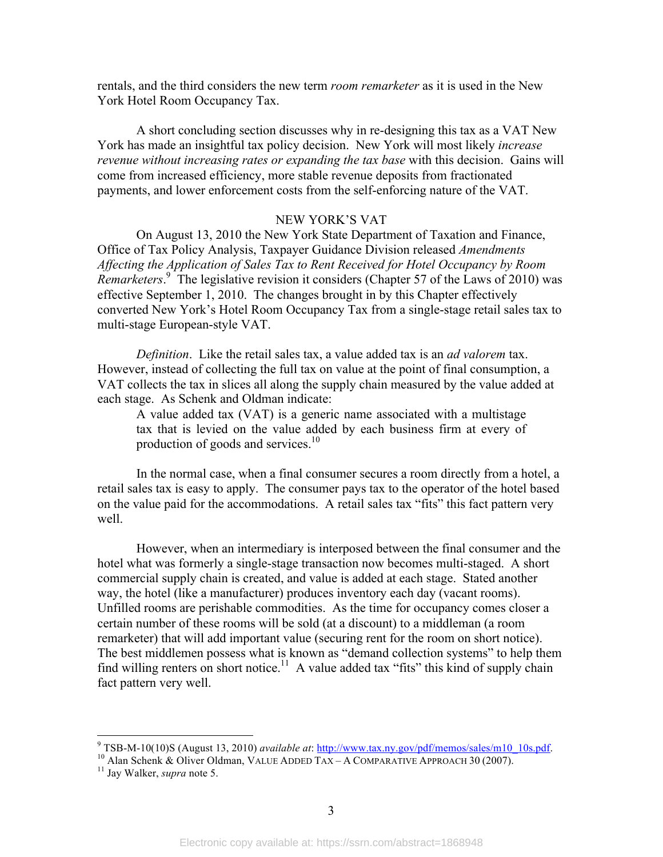rentals, and the third considers the new term *room remarketer* as it is used in the New York Hotel Room Occupancy Tax.

A short concluding section discusses why in re-designing this tax as a VAT New York has made an insightful tax policy decision. New York will most likely *increase revenue without increasing rates or expanding the tax base* with this decision. Gains will come from increased efficiency, more stable revenue deposits from fractionated payments, and lower enforcement costs from the self-enforcing nature of the VAT.

#### NEW YORK'S VAT

On August 13, 2010 the New York State Department of Taxation and Finance, Office of Tax Policy Analysis, Taxpayer Guidance Division released *Amendments Affecting the Application of Sales Tax to Rent Received for Hotel Occupancy by Room*  Remarketers.<sup>9</sup> The legislative revision it considers (Chapter 57 of the Laws of 2010) was effective September 1, 2010. The changes brought in by this Chapter effectively converted New York's Hotel Room Occupancy Tax from a single-stage retail sales tax to multi-stage European-style VAT.

*Definition*. Like the retail sales tax, a value added tax is an *ad valorem* tax. However, instead of collecting the full tax on value at the point of final consumption, a VAT collects the tax in slices all along the supply chain measured by the value added at each stage. As Schenk and Oldman indicate:

A value added tax (VAT) is a generic name associated with a multistage tax that is levied on the value added by each business firm at every of production of goods and services. $10$ 

In the normal case, when a final consumer secures a room directly from a hotel, a retail sales tax is easy to apply. The consumer pays tax to the operator of the hotel based on the value paid for the accommodations. A retail sales tax "fits" this fact pattern very well.

However, when an intermediary is interposed between the final consumer and the hotel what was formerly a single-stage transaction now becomes multi-staged. A short commercial supply chain is created, and value is added at each stage. Stated another way, the hotel (like a manufacturer) produces inventory each day (vacant rooms). Unfilled rooms are perishable commodities. As the time for occupancy comes closer a certain number of these rooms will be sold (at a discount) to a middleman (a room remarketer) that will add important value (securing rent for the room on short notice). The best middlemen possess what is known as "demand collection systems" to help them find willing renters on short notice.<sup>11</sup> A value added tax "fits" this kind of supply chain fact pattern very well.

<sup>-&</sup>lt;br>9 TSB-M-10(10)S (August 13, 2010) *available at*: http://www.tax.ny.gov/pdf/memos/sales/m10\_10s.pdf. 10 Alan Schenk & Oliver Oldman, VALUE ADDED TAX – <sup>A</sup> COMPARATIVE APPROACH <sup>30</sup> (2007). 11 Jay Walker, *supra* note 5.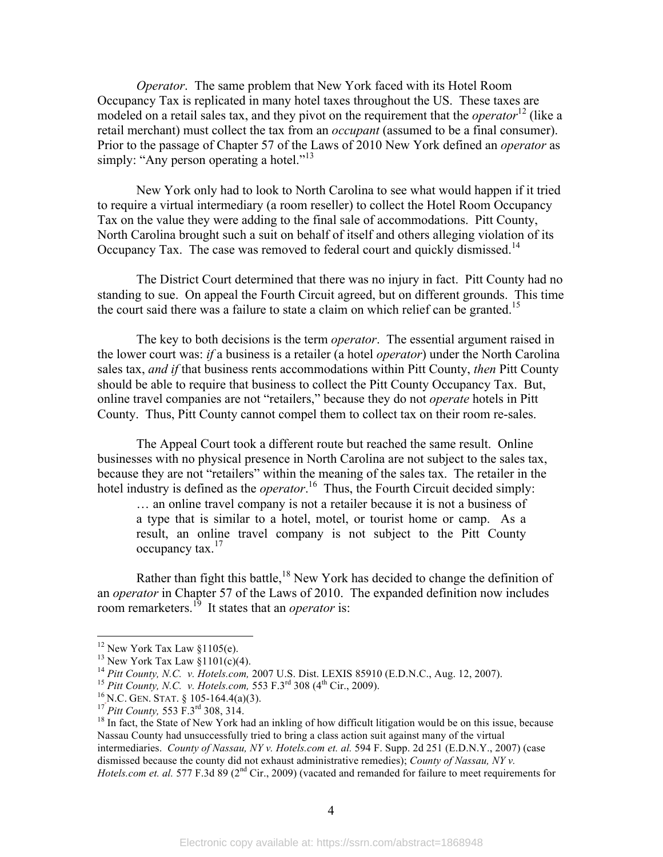*Operator*. The same problem that New York faced with its Hotel Room Occupancy Tax is replicated in many hotel taxes throughout the US. These taxes are modeled on a retail sales tax, and they pivot on the requirement that the *operator*<sup>12</sup> (like a retail merchant) must collect the tax from an *occupant* (assumed to be a final consumer). Prior to the passage of Chapter 57 of the Laws of 2010 New York defined an *operator* as simply: "Any person operating a hotel."<sup>13</sup>

New York only had to look to North Carolina to see what would happen if it tried to require a virtual intermediary (a room reseller) to collect the Hotel Room Occupancy Tax on the value they were adding to the final sale of accommodations. Pitt County, North Carolina brought such a suit on behalf of itself and others alleging violation of its Occupancy Tax. The case was removed to federal court and quickly dismissed.<sup>14</sup>

The District Court determined that there was no injury in fact. Pitt County had no standing to sue. On appeal the Fourth Circuit agreed, but on different grounds. This time the court said there was a failure to state a claim on which relief can be granted.<sup>15</sup>

The key to both decisions is the term *operator*. The essential argument raised in the lower court was: *if* a business is a retailer (a hotel *operator*) under the North Carolina sales tax, *and if* that business rents accommodations within Pitt County, *then* Pitt County should be able to require that business to collect the Pitt County Occupancy Tax. But, online travel companies are not "retailers," because they do not *operate* hotels in Pitt County. Thus, Pitt County cannot compel them to collect tax on their room re-sales.

The Appeal Court took a different route but reached the same result. Online businesses with no physical presence in North Carolina are not subject to the sales tax, because they are not "retailers" within the meaning of the sales tax. The retailer in the hotel industry is defined as the *operator*.<sup>16</sup> Thus, the Fourth Circuit decided simply:

… an online travel company is not a retailer because it is not a business of a type that is similar to a hotel, motel, or tourist home or camp. As a result, an online travel company is not subject to the Pitt County occupancy tax.<sup>17</sup>

Rather than fight this battle, $18$  New York has decided to change the definition of an *operator* in Chapter 57 of the Laws of 2010. The expanded definition now includes room remarketers.<sup>19</sup> It states that an *operator* is:

<sup>&</sup>lt;sup>12</sup> New York Tax Law §1105(e).<br><sup>13</sup> New York Tax Law §1101(c)(4).<br><sup>14</sup> Pitt County, N.C. *v. Hotels.com*, 2007 U.S. Dist. LEXIS 85910 (E.D.N.C., Aug. 12, 2007).

<sup>&</sup>lt;sup>15</sup> Pitt County, N.C. v. Hotels.com, 553 F.3<sup>rd</sup> 308 (4<sup>th</sup> Cir., 2009).<br><sup>16</sup> N.C. GEN. STAT. § 105-164.4(a)(3).<br><sup>17</sup> Pitt County, 553 F.3<sup>rd</sup> 308, 314.<br><sup>18</sup> In fact, the State of New York had an inkling of how difficult Nassau County had unsuccessfully tried to bring a class action suit against many of the virtual intermediaries. *County of Nassau, NY v. Hotels.com et. al.* 594 F. Supp. 2d 251 (E.D.N.Y., 2007) (case dismissed because the county did not exhaust administrative remedies); *County of Nassau, NY v. Hotels.com et. al.* 577 F.3d 89 (2<sup>nd</sup> Cir., 2009) (vacated and remanded for failure to meet requirements for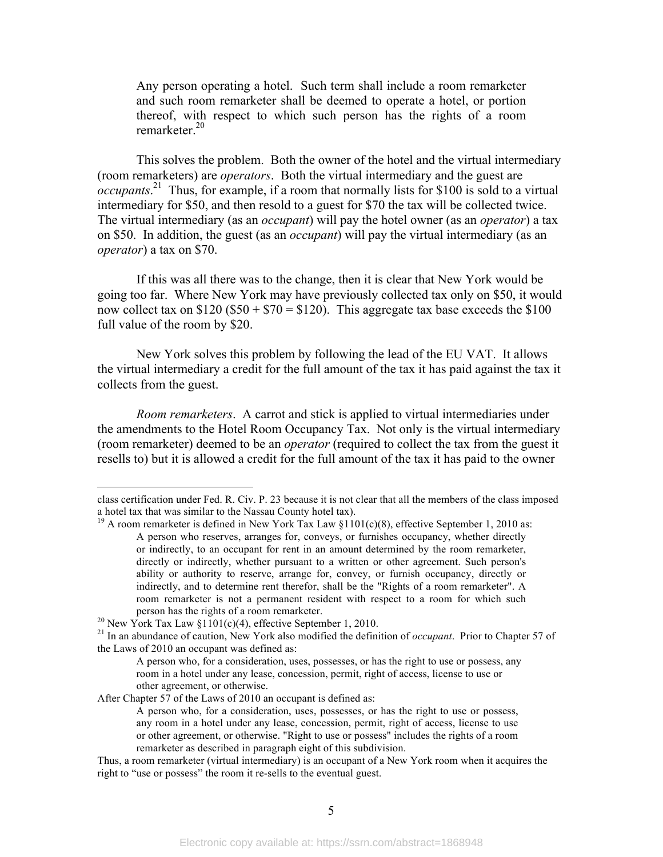Any person operating a hotel. Such term shall include a room remarketer and such room remarketer shall be deemed to operate a hotel, or portion thereof, with respect to which such person has the rights of a room remarketer $^{20}$ 

This solves the problem. Both the owner of the hotel and the virtual intermediary (room remarketers) are *operators*. Both the virtual intermediary and the guest are *occupants*.<sup>21</sup> Thus, for example, if a room that normally lists for \$100 is sold to a virtual intermediary for \$50, and then resold to a guest for \$70 the tax will be collected twice. The virtual intermediary (as an *occupant*) will pay the hotel owner (as an *operator*) a tax on \$50. In addition, the guest (as an *occupant*) will pay the virtual intermediary (as an *operator*) a tax on \$70.

If this was all there was to the change, then it is clear that New York would be going too far. Where New York may have previously collected tax only on \$50, it would now collect tax on  $$120 ($50 + $70 = $120)$ . This aggregate tax base exceeds the  $$100$ full value of the room by \$20.

New York solves this problem by following the lead of the EU VAT. It allows the virtual intermediary a credit for the full amount of the tax it has paid against the tax it collects from the guest.

*Room remarketers*. A carrot and stick is applied to virtual intermediaries under the amendments to the Hotel Room Occupancy Tax. Not only is the virtual intermediary (room remarketer) deemed to be an *operator* (required to collect the tax from the guest it resells to) but it is allowed a credit for the full amount of the tax it has paid to the owner

After Chapter 57 of the Laws of 2010 an occupant is defined as:

class certification under Fed. R. Civ. P. 23 because it is not clear that all the members of the class imposed a hotel tax that was similar to the Nassau County hotel tax).

<sup>&</sup>lt;sup>19</sup> A room remarketer is defined in New York Tax Law  $$1101(c)(8)$ , effective September 1, 2010 as: A person who reserves, arranges for, conveys, or furnishes occupancy, whether directly or indirectly, to an occupant for rent in an amount determined by the room remarketer, directly or indirectly, whether pursuant to a written or other agreement. Such person's ability or authority to reserve, arrange for, convey, or furnish occupancy, directly or indirectly, and to determine rent therefor, shall be the "Rights of a room remarketer". A room remarketer is not a permanent resident with respect to a room for which such person has the rights of a room remarketer.<br><sup>20</sup> New York Tax Law §1101(c)(4), effective September 1, 2010.

<sup>21</sup> In an abundance of caution, New York also modified the definition of *occupant*. Prior to Chapter 57 of the Laws of 2010 an occupant was defined as:

A person who, for a consideration, uses, possesses, or has the right to use or possess, any room in a hotel under any lease, concession, permit, right of access, license to use or other agreement, or otherwise.

A person who, for a consideration, uses, possesses, or has the right to use or possess, any room in a hotel under any lease, concession, permit, right of access, license to use or other agreement, or otherwise. "Right to use or possess" includes the rights of a room remarketer as described in paragraph eight of this subdivision.

Thus, a room remarketer (virtual intermediary) is an occupant of a New York room when it acquires the right to "use or possess" the room it re-sells to the eventual guest.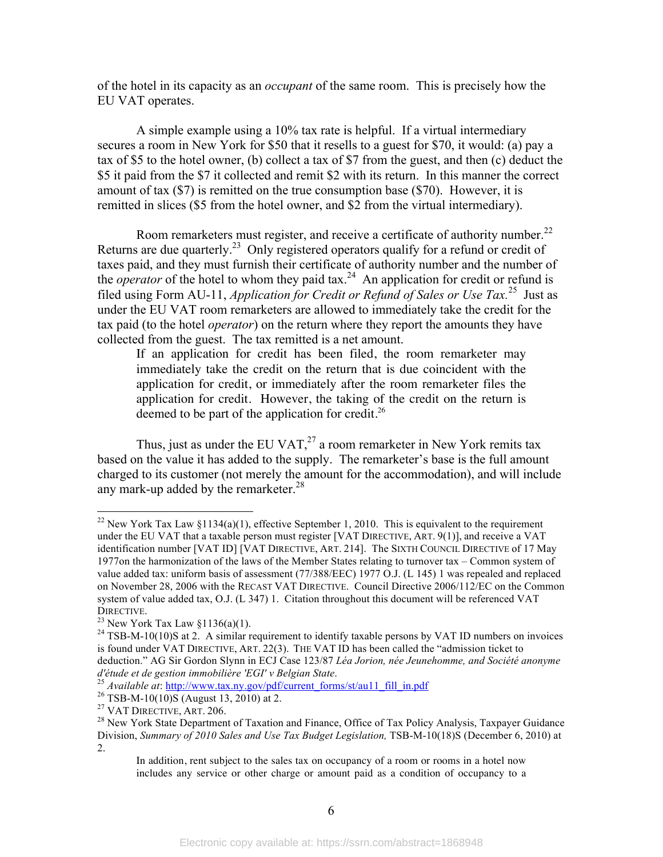of the hotel in its capacity as an *occupant* of the same room. This is precisely how the EU VAT operates.

A simple example using a 10% tax rate is helpful. If a virtual intermediary secures a room in New York for \$50 that it resells to a guest for \$70, it would: (a) pay a tax of \$5 to the hotel owner, (b) collect a tax of \$7 from the guest, and then (c) deduct the \$5 it paid from the \$7 it collected and remit \$2 with its return. In this manner the correct amount of tax (\$7) is remitted on the true consumption base (\$70). However, it is remitted in slices (\$5 from the hotel owner, and \$2 from the virtual intermediary).

Room remarketers must register, and receive a certificate of authority number.<sup>22</sup> Returns are due quarterly.<sup>23</sup> Only registered operators qualify for a refund or credit of taxes paid, and they must furnish their certificate of authority number and the number of the *operator* of the hotel to whom they paid tax.<sup>24</sup> An application for credit or refund is filed using Form AU-11, *Application for Credit or Refund of Sales or Use Tax.*25 Just as under the EU VAT room remarketers are allowed to immediately take the credit for the tax paid (to the hotel *operator*) on the return where they report the amounts they have collected from the guest. The tax remitted is a net amount.

If an application for credit has been filed, the room remarketer may immediately take the credit on the return that is due coincident with the application for credit, or immediately after the room remarketer files the application for credit. However, the taking of the credit on the return is deemed to be part of the application for credit.<sup>26</sup>

Thus, just as under the EU VAT, $^{27}$  a room remarketer in New York remits tax based on the value it has added to the supply. The remarketer's base is the full amount charged to its customer (not merely the amount for the accommodation), and will include any mark-up added by the remarketer. $28$ 

<sup>&</sup>lt;sup>22</sup> New York Tax Law §1134(a)(1), effective September 1, 2010. This is equivalent to the requirement under the EU VAT that a taxable person must register [VAT DIRECTIVE, ART. 9(1)], and receive a VAT identification number [VAT ID] [VAT DIRECTIVE, ART. 214]. The SIXTH COUNCIL DIRECTIVE of 17 May 1977on the harmonization of the laws of the Member States relating to turnover tax – Common system of value added tax: uniform basis of assessment (77/388/EEC) 1977 O.J. (L 145) 1 was repealed and replaced on November 28, 2006 with the RECAST VAT DIRECTIVE. Council Directive 2006/112/EC on the Common system of value added tax, O.J. (L 347) 1. Citation throughout this document will be referenced VAT DIRECTIVE.<br><sup>23</sup> New York Tax Law §1136(a)(1).<br><sup>24</sup> TSB-M-10(10)S at 2. A similar requirement to identify taxable persons by VAT ID numbers on invoices

is found under VAT DIRECTIVE, ART. 22(3). THE VAT ID has been called the "admission ticket to deduction." AG Sir Gordon Slynn in ECJ Case 123/87 *Léa Jorion, née Jeunehomme, and Société anonyme* 

<sup>&</sup>lt;sup>25</sup> Available at: http://www.tax.ny.gov/pdf/current\_forms/st/au11\_fill\_in.pdf<br><sup>26</sup> TSB-M-10(10)S (August 13, 2010) at 2.<br><sup>27</sup> VAT DIRECTIVE, ART. 206.<br><sup>28</sup> New York State Department of Taxation and Finance, Office of Tax Division, *Summary of 2010 Sales and Use Tax Budget Legislation,* TSB-M-10(18)S (December 6, 2010) at 2.

In addition, rent subject to the sales tax on occupancy of a room or rooms in a hotel now includes any service or other charge or amount paid as a condition of occupancy to a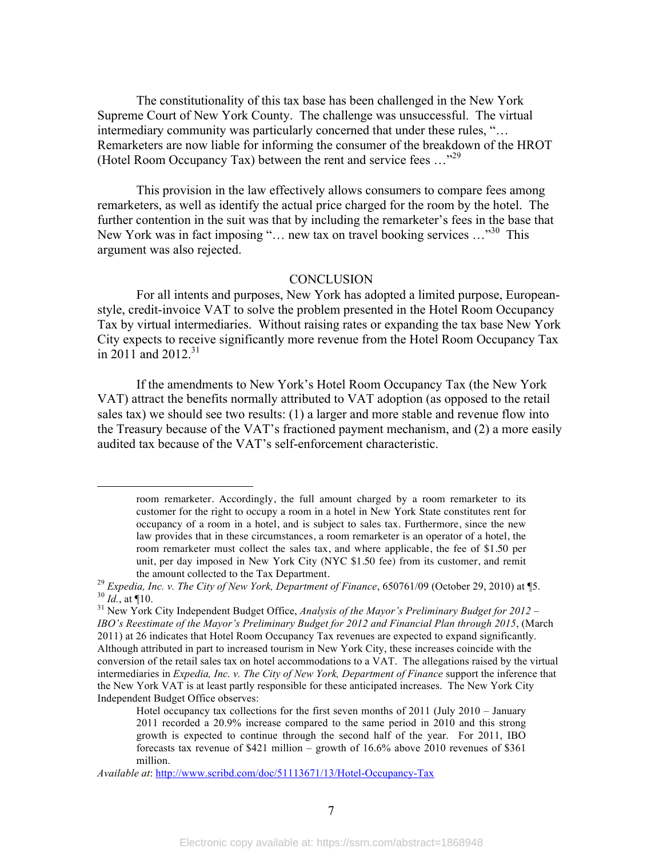The constitutionality of this tax base has been challenged in the New York Supreme Court of New York County. The challenge was unsuccessful. The virtual intermediary community was particularly concerned that under these rules, "… Remarketers are now liable for informing the consumer of the breakdown of the HROT (Hotel Room Occupancy Tax) between the rent and service fees …"29

This provision in the law effectively allows consumers to compare fees among remarketers, as well as identify the actual price charged for the room by the hotel. The further contention in the suit was that by including the remarketer's fees in the base that New York was in fact imposing "... new tax on travel booking services ..."<sup>30</sup> This argument was also rejected.

#### **CONCLUSION**

For all intents and purposes, New York has adopted a limited purpose, Europeanstyle, credit-invoice VAT to solve the problem presented in the Hotel Room Occupancy Tax by virtual intermediaries. Without raising rates or expanding the tax base New York City expects to receive significantly more revenue from the Hotel Room Occupancy Tax in 2011 and 2012.<sup>31</sup>

If the amendments to New York's Hotel Room Occupancy Tax (the New York VAT) attract the benefits normally attributed to VAT adoption (as opposed to the retail sales tax) we should see two results: (1) a larger and more stable and revenue flow into the Treasury because of the VAT's fractioned payment mechanism, and (2) a more easily audited tax because of the VAT's self-enforcement characteristic.

 $\overline{a}$ 

room remarketer. Accordingly, the full amount charged by a room remarketer to its customer for the right to occupy a room in a hotel in New York State constitutes rent for occupancy of a room in a hotel, and is subject to sales tax. Furthermore, since the new law provides that in these circumstances, a room remarketer is an operator of a hotel, the room remarketer must collect the sales tax, and where applicable, the fee of \$1.50 per unit, per day imposed in New York City (NYC \$1.50 fee) from its customer, and remit

the amount collected to the Tax Department.<br><sup>29</sup> Expedia, Inc. v. The City of New York, Department of Finance, 650761/09 (October 29, 2010) at ¶5.<br><sup>30</sup> Id., at ¶10.<br><sup>31</sup> New York City Independent Budget Office, *Analysis* 

*IBO's Reestimate of the Mayor's Preliminary Budget for 2012 and Financial Plan through 2015*, (March 2011) at 26 indicates that Hotel Room Occupancy Tax revenues are expected to expand significantly. Although attributed in part to increased tourism in New York City, these increases coincide with the conversion of the retail sales tax on hotel accommodations to a VAT. The allegations raised by the virtual intermediaries in *Expedia, Inc. v. The City of New York, Department of Finance* support the inference that the New York VAT is at least partly responsible for these anticipated increases. The New York City Independent Budget Office observes:

Hotel occupancy tax collections for the first seven months of 2011 (July 2010 – January 2011 recorded a 20.9% increase compared to the same period in 2010 and this strong growth is expected to continue through the second half of the year. For 2011, IBO forecasts tax revenue of \$421 million – growth of 16.6% above 2010 revenues of \$361 million.

*Available at*: http://www.scribd.com/doc/51113671/13/Hotel-Occupancy-Tax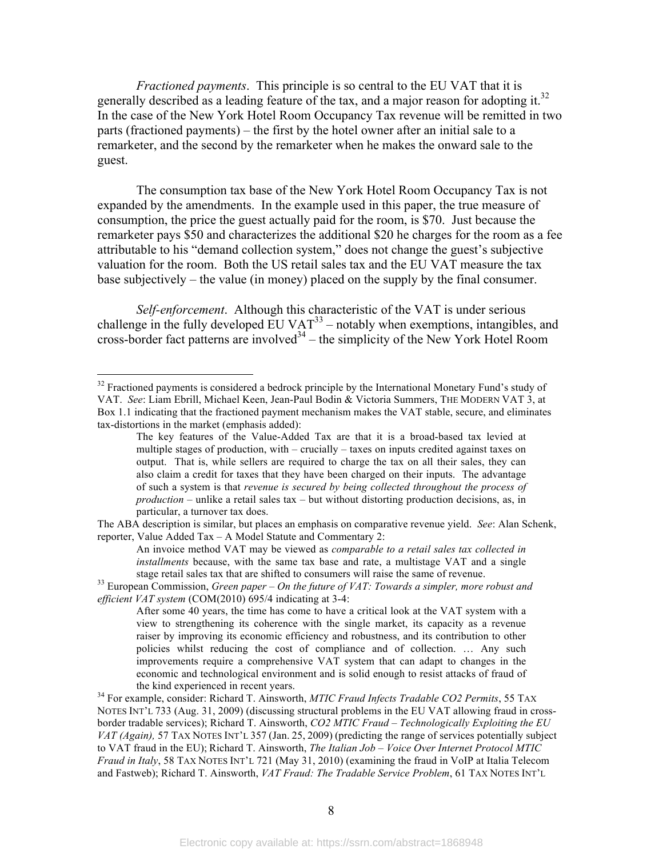*Fractioned payments*. This principle is so central to the EU VAT that it is generally described as a leading feature of the tax, and a major reason for adopting it.<sup>32</sup> In the case of the New York Hotel Room Occupancy Tax revenue will be remitted in two parts (fractioned payments) – the first by the hotel owner after an initial sale to a remarketer, and the second by the remarketer when he makes the onward sale to the guest.

The consumption tax base of the New York Hotel Room Occupancy Tax is not expanded by the amendments. In the example used in this paper, the true measure of consumption, the price the guest actually paid for the room, is \$70. Just because the remarketer pays \$50 and characterizes the additional \$20 he charges for the room as a fee attributable to his "demand collection system," does not change the guest's subjective valuation for the room. Both the US retail sales tax and the EU VAT measure the tax base subjectively – the value (in money) placed on the supply by the final consumer.

*Self-enforcement*. Although this characteristic of the VAT is under serious challenge in the fully developed  $EUVAT^{33}$  – notably when exemptions, intangibles, and cross-border fact patterns are involved<sup>34</sup> – the simplicity of the New York Hotel Room

The ABA description is similar, but places an emphasis on comparative revenue yield. *See*: Alan Schenk, reporter, Value Added Tax – A Model Statute and Commentary 2:

An invoice method VAT may be viewed as *comparable to a retail sales tax collected in installments* because, with the same tax base and rate, a multistage VAT and a single

<sup>&</sup>lt;sup>32</sup> Fractioned payments is considered a bedrock principle by the International Monetary Fund's study of VAT. *See*: Liam Ebrill, Michael Keen, Jean-Paul Bodin & Victoria Summers, THE MODERN VAT 3, at Box 1.1 indicating that the fractioned payment mechanism makes the VAT stable, secure, and eliminates tax-distortions in the market (emphasis added):

The key features of the Value-Added Tax are that it is a broad-based tax levied at multiple stages of production, with – crucially – taxes on inputs credited against taxes on output. That is, while sellers are required to charge the tax on all their sales, they can also claim a credit for taxes that they have been charged on their inputs. The advantage of such a system is that *revenue is secured by being collected throughout the process of production* – unlike a retail sales tax – but without distorting production decisions, as, in particular, a turnover tax does.

stage retail sales tax that are shifted to consumers will raise the same of revenue. 33 European Commission, *Green paper – On the future of VAT: Towards a simpler, more robust and efficient VAT system* (COM(2010) 695/4 indicating at 3-4:

After some 40 years, the time has come to have a critical look at the VAT system with a view to strengthening its coherence with the single market, its capacity as a revenue raiser by improving its economic efficiency and robustness, and its contribution to other policies whilst reducing the cost of compliance and of collection. … Any such improvements require a comprehensive VAT system that can adapt to changes in the economic and technological environment and is solid enough to resist attacks of fraud of the kind experienced in recent years. 34 For example, consider: Richard T. Ainsworth, *MTIC Fraud Infects Tradable CO2 Permits*, 55 TAX

NOTES INT'L 733 (Aug. 31, 2009) (discussing structural problems in the EU VAT allowing fraud in crossborder tradable services); Richard T. Ainsworth, *CO2 MTIC Fraud – Technologically Exploiting the EU VAT (Again),* 57 TAX NOTES INT'L 357 (Jan. 25, 2009) (predicting the range of services potentially subject to VAT fraud in the EU); Richard T. Ainsworth, *The Italian Job – Voice Over Internet Protocol MTIC Fraud in Italy*, 58 TAX NOTES INT'L 721 (May 31, 2010) (examining the fraud in VoIP at Italia Telecom and Fastweb); Richard T. Ainsworth, *VAT Fraud: The Tradable Service Problem*, 61 TAX NOTES INT'L